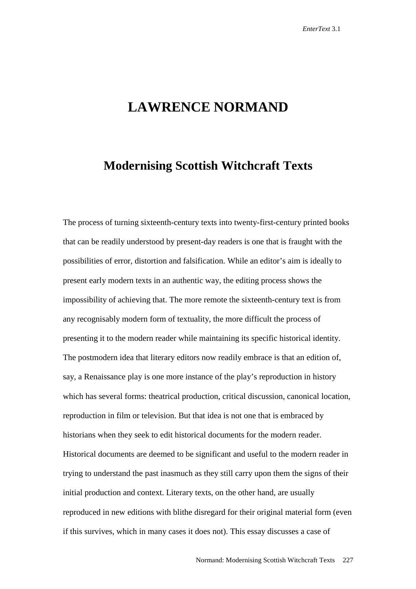## **LAWRENCE NORMAND**

## **Modernising Scottish Witchcraft Texts**

The process of turning sixteenth-century texts into twenty-first-century printed books that can be readily understood by present-day readers is one that is fraught with the possibilities of error, distortion and falsification. While an editor's aim is ideally to present early modern texts in an authentic way, the editing process shows the impossibility of achieving that. The more remote the sixteenth-century text is from any recognisably modern form of textuality, the more difficult the process of presenting it to the modern reader while maintaining its specific historical identity. The postmodern idea that literary editors now readily embrace is that an edition of, say, a Renaissance play is one more instance of the play's reproduction in history which has several forms: theatrical production, critical discussion, canonical location, reproduction in film or television. But that idea is not one that is embraced by historians when they seek to edit historical documents for the modern reader. Historical documents are deemed to be significant and useful to the modern reader in trying to understand the past inasmuch as they still carry upon them the signs of their initial production and context. Literary texts, on the other hand, are usually reproduced in new editions with blithe disregard for their original material form (even if this survives, which in many cases it does not). This essay discusses a case of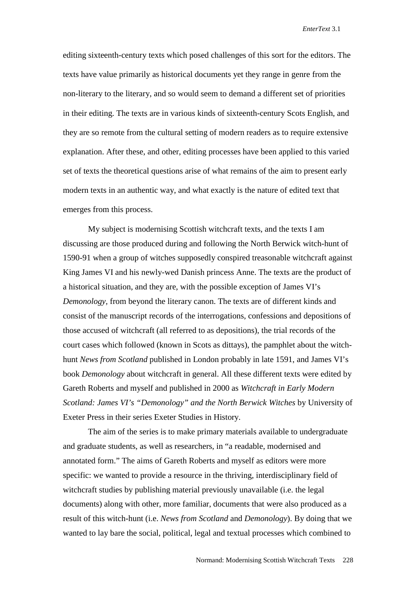editing sixteenth-century texts which posed challenges of this sort for the editors. The texts have value primarily as historical documents yet they range in genre from the non-literary to the literary, and so would seem to demand a different set of priorities in their editing. The texts are in various kinds of sixteenth-century Scots English, and they are so remote from the cultural setting of modern readers as to require extensive explanation. After these, and other, editing processes have been applied to this varied set of texts the theoretical questions arise of what remains of the aim to present early modern texts in an authentic way, and what exactly is the nature of edited text that emerges from this process.

My subject is modernising Scottish witchcraft texts, and the texts I am discussing are those produced during and following the North Berwick witch-hunt of 1590-91 when a group of witches supposedly conspired treasonable witchcraft against King James VI and his newly-wed Danish princess Anne. The texts are the product of a historical situation, and they are, with the possible exception of James VI's *Demonology,* from beyond the literary canon. The texts are of different kinds and consist of the manuscript records of the interrogations, confessions and depositions of those accused of witchcraft (all referred to as depositions), the trial records of the court cases which followed (known in Scots as dittays), the pamphlet about the witchhunt *News from Scotland* published in London probably in late 1591, and James VI's book *Demonology* about witchcraft in general. All these different texts were edited by Gareth Roberts and myself and published in 2000 as *Witchcraft in Early Modern Scotland: James VI's "Demonology" and the North Berwick Witches* by University of Exeter Press in their series Exeter Studies in History.

The aim of the series is to make primary materials available to undergraduate and graduate students, as well as researchers, in "a readable, modernised and annotated form." The aims of Gareth Roberts and myself as editors were more specific: we wanted to provide a resource in the thriving, interdisciplinary field of witchcraft studies by publishing material previously unavailable (i.e. the legal documents) along with other, more familiar, documents that were also produced as a result of this witch-hunt (i.e. *News from Scotland* and *Demonology*). By doing that we wanted to lay bare the social, political, legal and textual processes which combined to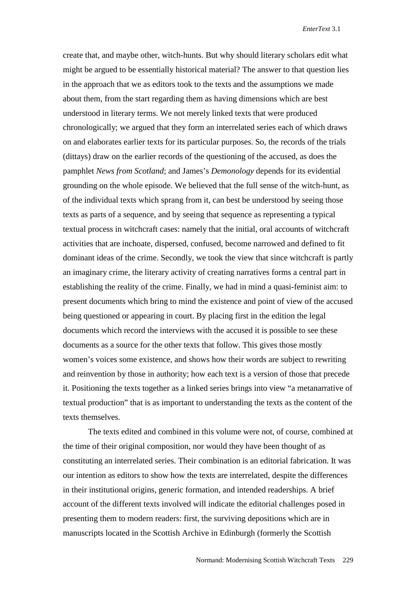create that, and maybe other, witch-hunts. But why should literary scholars edit what might be argued to be essentially historical material? The answer to that question lies in the approach that we as editors took to the texts and the assumptions we made about them, from the start regarding them as having dimensions which are best understood in literary terms. We not merely linked texts that were produced chronologically; we argued that they form an interrelated series each of which draws on and elaborates earlier texts for its particular purposes. So, the records of the trials (dittays) draw on the earlier records of the questioning of the accused, as does the pamphlet *News from Scotland*; and James's *Demonology* depends for its evidential grounding on the whole episode. We believed that the full sense of the witch-hunt, as of the individual texts which sprang from it, can best be understood by seeing those texts as parts of a sequence, and by seeing that sequence as representing a typical textual process in witchcraft cases: namely that the initial, oral accounts of witchcraft activities that are inchoate, dispersed, confused, become narrowed and defined to fit dominant ideas of the crime. Secondly, we took the view that since witchcraft is partly an imaginary crime, the literary activity of creating narratives forms a central part in establishing the reality of the crime. Finally, we had in mind a quasi-feminist aim: to present documents which bring to mind the existence and point of view of the accused being questioned or appearing in court. By placing first in the edition the legal documents which record the interviews with the accused it is possible to see these documents as a source for the other texts that follow. This gives those mostly women's voices some existence, and shows how their words are subject to rewriting and reinvention by those in authority; how each text is a version of those that precede it. Positioning the texts together as a linked series brings into view "a metanarrative of textual production" that is as important to understanding the texts as the content of the texts themselves.

The texts edited and combined in this volume were not, of course, combined at the time of their original composition, nor would they have been thought of as constituting an interrelated series. Their combination is an editorial fabrication. It was our intention as editors to show how the texts are interrelated, despite the differences in their institutional origins, generic formation, and intended readerships. A brief account of the different texts involved will indicate the editorial challenges posed in presenting them to modern readers: first, the surviving depositions which are in manuscripts located in the Scottish Archive in Edinburgh (formerly the Scottish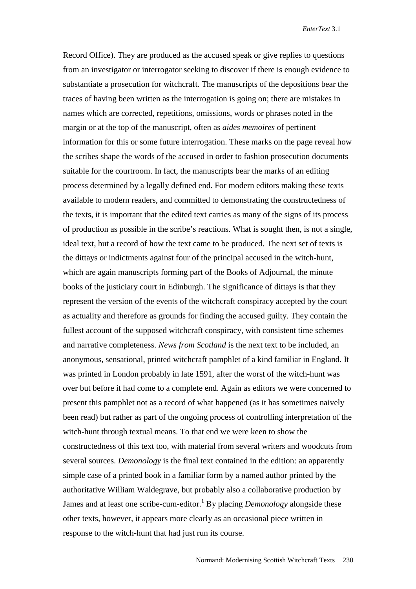Record Office). They are produced as the accused speak or give replies to questions from an investigator or interrogator seeking to discover if there is enough evidence to substantiate a prosecution for witchcraft. The manuscripts of the depositions bear the traces of having been written as the interrogation is going on; there are mistakes in names which are corrected, repetitions, omissions, words or phrases noted in the margin or at the top of the manuscript, often as *aides memoires* of pertinent information for this or some future interrogation. These marks on the page reveal how the scribes shape the words of the accused in order to fashion prosecution documents suitable for the courtroom. In fact, the manuscripts bear the marks of an editing process determined by a legally defined end. For modern editors making these texts available to modern readers, and committed to demonstrating the constructedness of the texts, it is important that the edited text carries as many of the signs of its process of production as possible in the scribe's reactions. What is sought then, is not a single, ideal text, but a record of how the text came to be produced. The next set of texts is the dittays or indictments against four of the principal accused in the witch-hunt, which are again manuscripts forming part of the Books of Adjournal, the minute books of the justiciary court in Edinburgh. The significance of dittays is that they represent the version of the events of the witchcraft conspiracy accepted by the court as actuality and therefore as grounds for finding the accused guilty. They contain the fullest account of the supposed witchcraft conspiracy, with consistent time schemes and narrative completeness. *News from Scotland* is the next text to be included, an anonymous, sensational, printed witchcraft pamphlet of a kind familiar in England. It was printed in London probably in late 1591, after the worst of the witch-hunt was over but before it had come to a complete end. Again as editors we were concerned to present this pamphlet not as a record of what happened (as it has sometimes naively been read) but rather as part of the ongoing process of controlling interpretation of the witch-hunt through textual means. To that end we were keen to show the constructedness of this text too, with material from several writers and woodcuts from several sources. *Demonology* is the final text contained in the edition: an apparently simple case of a printed book in a familiar form by a named author printed by the authoritative William Waldegrave, but probably also a collaborative production by James and at least one scribe-cum-editor.<sup>1</sup> By placing *Demonology* alongside these other texts, however, it appears more clearly as an occasional piece written in response to the witch-hunt that had just run its course.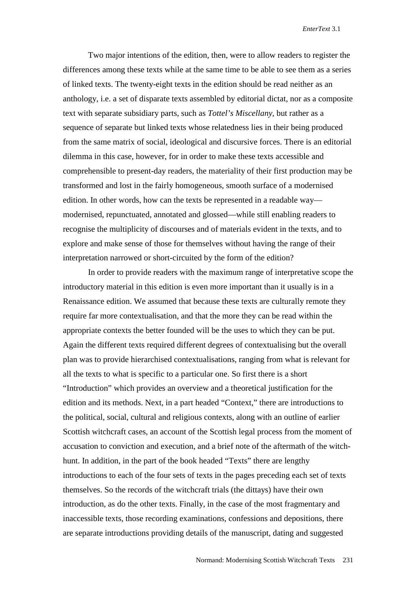Two major intentions of the edition, then, were to allow readers to register the differences among these texts while at the same time to be able to see them as a series of linked texts. The twenty-eight texts in the edition should be read neither as an anthology, i.e. a set of disparate texts assembled by editorial dictat, nor as a composite text with separate subsidiary parts, such as *Tottel's Miscellany*, but rather as a sequence of separate but linked texts whose relatedness lies in their being produced from the same matrix of social, ideological and discursive forces. There is an editorial dilemma in this case, however, for in order to make these texts accessible and comprehensible to present-day readers, the materiality of their first production may be transformed and lost in the fairly homogeneous, smooth surface of a modernised edition. In other words, how can the texts be represented in a readable way modernised, repunctuated, annotated and glossed—while still enabling readers to recognise the multiplicity of discourses and of materials evident in the texts, and to explore and make sense of those for themselves without having the range of their interpretation narrowed or short-circuited by the form of the edition?

In order to provide readers with the maximum range of interpretative scope the introductory material in this edition is even more important than it usually is in a Renaissance edition. We assumed that because these texts are culturally remote they require far more contextualisation, and that the more they can be read within the appropriate contexts the better founded will be the uses to which they can be put. Again the different texts required different degrees of contextualising but the overall plan was to provide hierarchised contextualisations, ranging from what is relevant for all the texts to what is specific to a particular one. So first there is a short "Introduction" which provides an overview and a theoretical justification for the edition and its methods. Next, in a part headed "Context," there are introductions to the political, social, cultural and religious contexts, along with an outline of earlier Scottish witchcraft cases, an account of the Scottish legal process from the moment of accusation to conviction and execution, and a brief note of the aftermath of the witchhunt. In addition, in the part of the book headed "Texts" there are lengthy introductions to each of the four sets of texts in the pages preceding each set of texts themselves. So the records of the witchcraft trials (the dittays) have their own introduction, as do the other texts. Finally, in the case of the most fragmentary and inaccessible texts, those recording examinations, confessions and depositions, there are separate introductions providing details of the manuscript, dating and suggested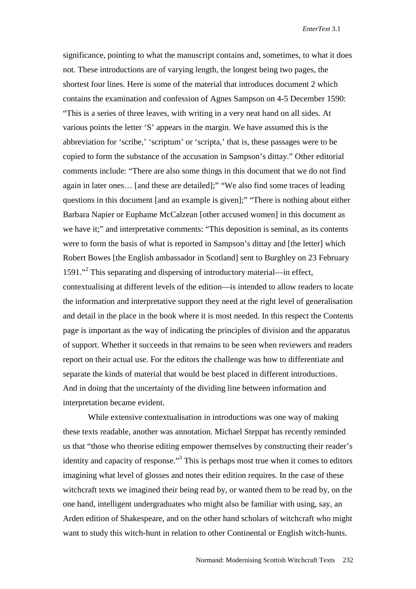significance, pointing to what the manuscript contains and, sometimes, to what it does not. These introductions are of varying length, the longest being two pages, the shortest four lines. Here is some of the material that introduces document 2 which contains the examination and confession of Agnes Sampson on 4-5 December 1590: "This is a series of three leaves, with writing in a very neat hand on all sides. At various points the letter 'S' appears in the margin. We have assumed this is the abbreviation for 'scribe,' 'scriptum' or 'scripta,' that is, these passages were to be copied to form the substance of the accusation in Sampson's dittay." Other editorial comments include: "There are also some things in this document that we do not find again in later ones… [and these are detailed];" "We also find some traces of leading questions in this document [and an example is given];" "There is nothing about either Barbara Napier or Euphame McCalzean [other accused women] in this document as we have it;" and interpretative comments: "This deposition is seminal, as its contents were to form the basis of what is reported in Sampson's dittay and [the letter] which Robert Bowes [the English ambassador in Scotland] sent to Burghley on 23 February 1591."<sup>2</sup> This separating and dispersing of introductory material—in effect, contextualising at different levels of the edition—is intended to allow readers to locate the information and interpretative support they need at the right level of generalisation and detail in the place in the book where it is most needed. In this respect the Contents page is important as the way of indicating the principles of division and the apparatus of support. Whether it succeeds in that remains to be seen when reviewers and readers report on their actual use. For the editors the challenge was how to differentiate and separate the kinds of material that would be best placed in different introductions. And in doing that the uncertainty of the dividing line between information and interpretation became evident.

While extensive contextualisation in introductions was one way of making these texts readable, another was annotation. Michael Steppat has recently reminded us that "those who theorise editing empower themselves by constructing their reader's identity and capacity of response."<sup>3</sup> This is perhaps most true when it comes to editors imagining what level of glosses and notes their edition requires. In the case of these witchcraft texts we imagined their being read by, or wanted them to be read by, on the one hand, intelligent undergraduates who might also be familiar with using, say, an Arden edition of Shakespeare, and on the other hand scholars of witchcraft who might want to study this witch-hunt in relation to other Continental or English witch-hunts.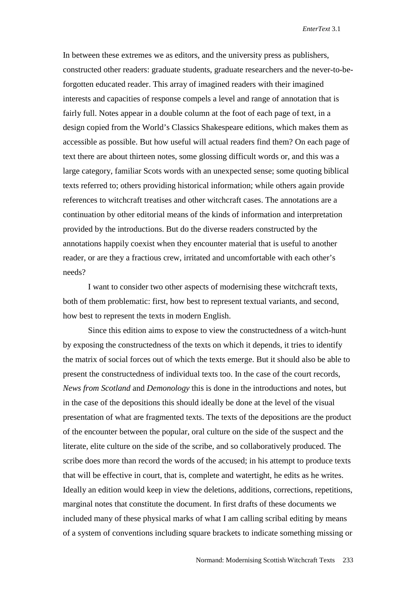In between these extremes we as editors, and the university press as publishers, constructed other readers: graduate students, graduate researchers and the never-to-beforgotten educated reader. This array of imagined readers with their imagined interests and capacities of response compels a level and range of annotation that is fairly full. Notes appear in a double column at the foot of each page of text, in a design copied from the World's Classics Shakespeare editions, which makes them as accessible as possible. But how useful will actual readers find them? On each page of text there are about thirteen notes, some glossing difficult words or, and this was a large category, familiar Scots words with an unexpected sense; some quoting biblical texts referred to; others providing historical information; while others again provide references to witchcraft treatises and other witchcraft cases. The annotations are a continuation by other editorial means of the kinds of information and interpretation provided by the introductions. But do the diverse readers constructed by the annotations happily coexist when they encounter material that is useful to another reader, or are they a fractious crew, irritated and uncomfortable with each other's needs?

I want to consider two other aspects of modernising these witchcraft texts, both of them problematic: first, how best to represent textual variants, and second, how best to represent the texts in modern English.

Since this edition aims to expose to view the constructedness of a witch-hunt by exposing the constructedness of the texts on which it depends, it tries to identify the matrix of social forces out of which the texts emerge. But it should also be able to present the constructedness of individual texts too. In the case of the court records, *News from Scotland* and *Demonology* this is done in the introductions and notes, but in the case of the depositions this should ideally be done at the level of the visual presentation of what are fragmented texts. The texts of the depositions are the product of the encounter between the popular, oral culture on the side of the suspect and the literate, elite culture on the side of the scribe, and so collaboratively produced. The scribe does more than record the words of the accused; in his attempt to produce texts that will be effective in court, that is, complete and watertight, he edits as he writes. Ideally an edition would keep in view the deletions, additions, corrections, repetitions, marginal notes that constitute the document. In first drafts of these documents we included many of these physical marks of what I am calling scribal editing by means of a system of conventions including square brackets to indicate something missing or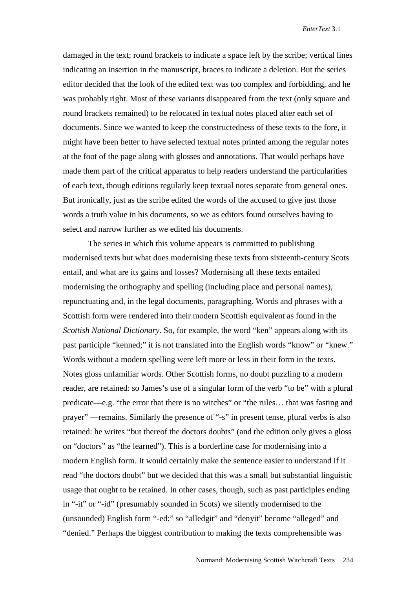damaged in the text; round brackets to indicate a space left by the scribe; vertical lines indicating an insertion in the manuscript, braces to indicate a deletion. But the series editor decided that the look of the edited text was too complex and forbidding, and he was probably right. Most of these variants disappeared from the text (only square and round brackets remained) to be relocated in textual notes placed after each set of documents. Since we wanted to keep the constructedness of these texts to the fore, it might have been better to have selected textual notes printed among the regular notes at the foot of the page along with glosses and annotations. That would perhaps have made them part of the critical apparatus to help readers understand the particularities of each text, though editions regularly keep textual notes separate from general ones. But ironically, just as the scribe edited the words of the accused to give just those words a truth value in his documents, so we as editors found ourselves having to select and narrow further as we edited his documents.

 The series in which this volume appears is committed to publishing modernised texts but what does modernising these texts from sixteenth-century Scots entail, and what are its gains and losses? Modernising all these texts entailed modernising the orthography and spelling (including place and personal names), repunctuating and, in the legal documents, paragraphing. Words and phrases with a Scottish form were rendered into their modern Scottish equivalent as found in the *Scottish National Dictionary*. So, for example, the word "ken" appears along with its past participle "kenned;" it is not translated into the English words "know" or "knew." Words without a modern spelling were left more or less in their form in the texts. Notes gloss unfamiliar words. Other Scottish forms, no doubt puzzling to a modern reader, are retained: so James's use of a singular form of the verb "to be" with a plural predicate—e.g. "the error that there is no witches" or "the rules… that was fasting and prayer" —remains. Similarly the presence of "-s" in present tense, plural verbs is also retained: he writes "but thereof the doctors doubts" (and the edition only gives a gloss on "doctors" as "the learned"). This is a borderline case for modernising into a modern English form. It would certainly make the sentence easier to understand if it read "the doctors doubt" but we decided that this was a small but substantial linguistic usage that ought to be retained. In other cases, though, such as past participles ending in "-it" or "-id" (presumably sounded in Scots) we silently modernised to the (unsounded) English form "-ed:" so "alledgit" and "denyit" become "alleged" and "denied." Perhaps the biggest contribution to making the texts comprehensible was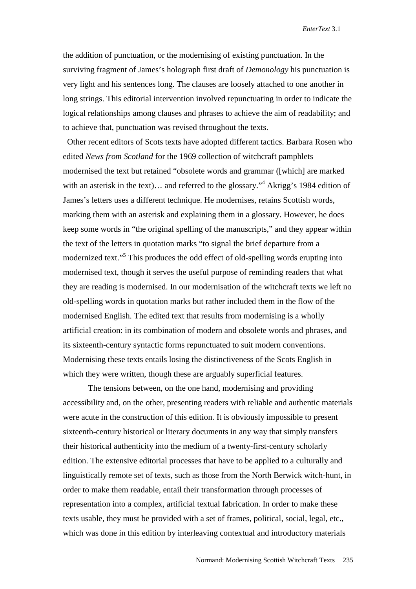the addition of punctuation, or the modernising of existing punctuation. In the surviving fragment of James's holograph first draft of *Demonology* his punctuation is very light and his sentences long. The clauses are loosely attached to one another in long strings. This editorial intervention involved repunctuating in order to indicate the logical relationships among clauses and phrases to achieve the aim of readability; and to achieve that, punctuation was revised throughout the texts.

 Other recent editors of Scots texts have adopted different tactics. Barbara Rosen who edited *News from Scotland* for the 1969 collection of witchcraft pamphlets modernised the text but retained "obsolete words and grammar ([which] are marked with an asterisk in the text)... and referred to the glossary."<sup>4</sup> Akrigg's 1984 edition of James's letters uses a different technique. He modernises, retains Scottish words, marking them with an asterisk and explaining them in a glossary. However, he does keep some words in "the original spelling of the manuscripts," and they appear within the text of the letters in quotation marks "to signal the brief departure from a modernized text."<sup>5</sup> This produces the odd effect of old-spelling words erupting into modernised text, though it serves the useful purpose of reminding readers that what they are reading is modernised. In our modernisation of the witchcraft texts we left no old-spelling words in quotation marks but rather included them in the flow of the modernised English. The edited text that results from modernising is a wholly artificial creation: in its combination of modern and obsolete words and phrases, and its sixteenth-century syntactic forms repunctuated to suit modern conventions. Modernising these texts entails losing the distinctiveness of the Scots English in which they were written, though these are arguably superficial features.

 The tensions between, on the one hand, modernising and providing accessibility and, on the other, presenting readers with reliable and authentic materials were acute in the construction of this edition. It is obviously impossible to present sixteenth-century historical or literary documents in any way that simply transfers their historical authenticity into the medium of a twenty-first-century scholarly edition. The extensive editorial processes that have to be applied to a culturally and linguistically remote set of texts, such as those from the North Berwick witch-hunt, in order to make them readable, entail their transformation through processes of representation into a complex, artificial textual fabrication. In order to make these texts usable, they must be provided with a set of frames, political, social, legal, etc., which was done in this edition by interleaving contextual and introductory materials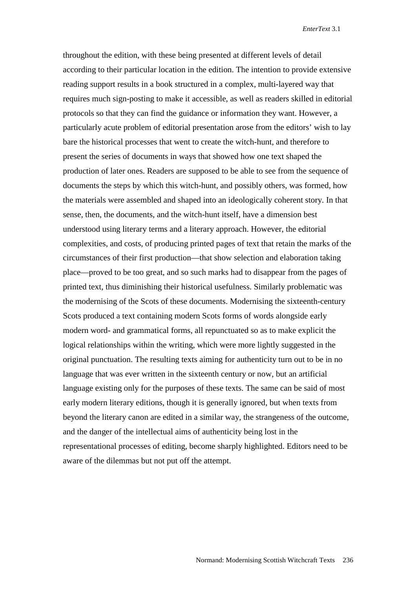throughout the edition, with these being presented at different levels of detail according to their particular location in the edition. The intention to provide extensive reading support results in a book structured in a complex, multi-layered way that requires much sign-posting to make it accessible, as well as readers skilled in editorial protocols so that they can find the guidance or information they want. However, a particularly acute problem of editorial presentation arose from the editors' wish to lay bare the historical processes that went to create the witch-hunt, and therefore to present the series of documents in ways that showed how one text shaped the production of later ones. Readers are supposed to be able to see from the sequence of documents the steps by which this witch-hunt, and possibly others, was formed, how the materials were assembled and shaped into an ideologically coherent story. In that sense, then, the documents, and the witch-hunt itself, have a dimension best understood using literary terms and a literary approach. However, the editorial complexities, and costs, of producing printed pages of text that retain the marks of the circumstances of their first production—that show selection and elaboration taking place—proved to be too great, and so such marks had to disappear from the pages of printed text, thus diminishing their historical usefulness. Similarly problematic was the modernising of the Scots of these documents. Modernising the sixteenth-century Scots produced a text containing modern Scots forms of words alongside early modern word- and grammatical forms, all repunctuated so as to make explicit the logical relationships within the writing, which were more lightly suggested in the original punctuation. The resulting texts aiming for authenticity turn out to be in no language that was ever written in the sixteenth century or now, but an artificial language existing only for the purposes of these texts. The same can be said of most early modern literary editions, though it is generally ignored, but when texts from beyond the literary canon are edited in a similar way, the strangeness of the outcome, and the danger of the intellectual aims of authenticity being lost in the representational processes of editing, become sharply highlighted. Editors need to be aware of the dilemmas but not put off the attempt.